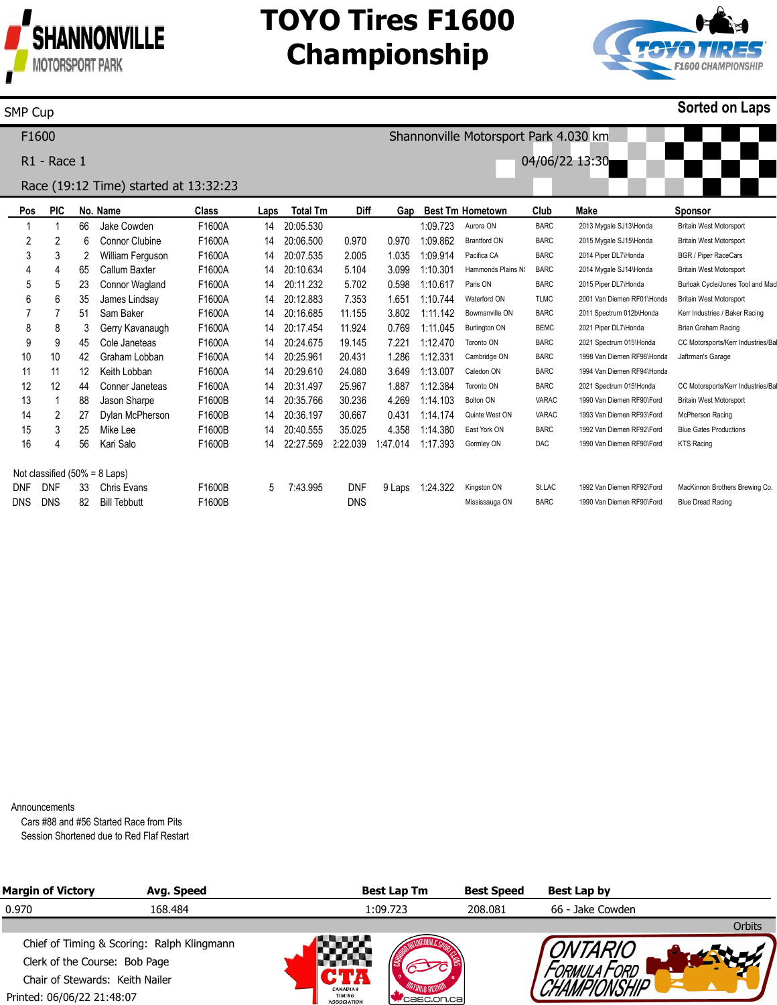

# **TOYO Tires F1600 Championship**

Shannonville Motorsport Park 4.030 km

04/06/22 13:30



**Sorted on Laps**

#### SMP Cup

F1600

R1 - Race 1

### Race (19:12 Time) started at 13:32:23

| Pos        | <b>PIC</b>                                     |    | No. Name            | Class  | Laps | <b>Total Tm</b> | <b>Diff</b> | Gap      |          | <b>Best Tm Hometown</b> | Club         | Make                       | <b>Sponsor</b>                    |
|------------|------------------------------------------------|----|---------------------|--------|------|-----------------|-------------|----------|----------|-------------------------|--------------|----------------------------|-----------------------------------|
|            |                                                | 66 | Jake Cowden         | F1600A | 14   | 20:05.530       |             |          | 1:09.723 | Aurora ON               | <b>BARC</b>  | 2013 Mygale SJ13\Honda     | <b>Britain West Motorsport</b>    |
| 2          | 2                                              | 6  | Connor Clubine      | F1600A | 14   | 20:06.500       | 0.970       | 0.970    | 1:09.862 | <b>Brantford ON</b>     | <b>BARC</b>  | 2015 Mygale SJ15\Honda     | <b>Britain West Motorsport</b>    |
| 3          | 3                                              |    | William Ferguson    | F1600A | 14   | 20:07.535       | 2.005       | 1.035    | 1:09.914 | Pacifica CA             | <b>BARC</b>  | 2014 Piper DL7\Honda       | <b>BGR / Piper RaceCars</b>       |
| 4          | 4                                              | 65 | Callum Baxter       | F1600A | 14   | 20:10.634       | 5.104       | 3.099    | 1:10.301 | Hammonds Plains N       | <b>BARC</b>  | 2014 Mygale SJ14\Honda     | <b>Britain West Motorsport</b>    |
| 5          | 5                                              | 23 | Connor Wagland      | F1600A | 14   | 20:11.232       | 5.702       | 0.598    | 1:10.617 | Paris ON                | <b>BARC</b>  | 2015 Piper DL7\Honda       | Burloak Cycle/Jones Tool and Mac  |
| 6          | 6                                              | 35 | James Lindsay       | F1600A | 14   | 20:12.883       | 7.353       | 1.651    | 1:10.744 | Waterford ON            | <b>TLMC</b>  | 2001 Van Diemen RF01\Honda | <b>Britain West Motorsport</b>    |
|            |                                                | 51 | Sam Baker           | F1600A | 14   | 20:16.685       | 11.155      | 3.802    | 1:11.142 | Bowmanville ON          | <b>BARC</b>  | 2011 Spectrum 012b\Honda   | Kerr Industries / Baker Racing    |
| 8          | 8                                              | 3  | Gerry Kavanaugh     | F1600A | 14   | 20:17.454       | 11.924      | 0.769    | 1:11.045 | <b>Burlington ON</b>    | <b>BEMC</b>  | 2021 Piper DL7\Honda       | Brian Graham Racing               |
| 9          | 9                                              | 45 | Cole Janeteas       | F1600A | 14   | 20:24.675       | 19.145      | 7.221    | 1:12.470 | Toronto ON              | <b>BARC</b>  | 2021 Spectrum 015\Honda    | CC Motorsports/Kerr Industries/Ba |
| 10         | 10                                             | 42 | Graham Lobban       | F1600A | 14   | 20:25.961       | 20.431      | 1.286    | 1:12.331 | Cambridge ON            | <b>BARC</b>  | 1998 Van Diemen RF98\Honda | Jaftrman's Garage                 |
| 11         | 11                                             | 12 | Keith Lobban        | F1600A | 14   | 20:29.610       | 24.080      | 3.649    | 1:13.007 | Caledon ON              | <b>BARC</b>  | 1994 Van Diemen RF94\Honda |                                   |
| 12         | 12                                             | 44 | Conner Janeteas     | F1600A | 14   | 20:31.497       | 25.967      | 1.887    | 1:12.384 | Toronto ON              | <b>BARC</b>  | 2021 Spectrum 015\Honda    | CC Motorsports/Kerr Industries/Ba |
| 13         |                                                | 88 | Jason Sharpe        | F1600B | 14   | 20:35.766       | 30.236      | 4.269    | 1:14.103 | Bolton ON               | <b>VARAC</b> | 1990 Van Diemen RF90\Ford  | <b>Britain West Motorsport</b>    |
| 14         | 2                                              | 27 | Dylan McPherson     | F1600B | 14   | 20:36.197       | 30.667      | 0.431    | 1:14.174 | Quinte West ON          | <b>VARAC</b> | 1993 Van Diemen RF93\Ford  | McPherson Racing                  |
| 15         | 3                                              | 25 | Mike Lee            | F1600B | 14   | 20:40.555       | 35.025      | 4.358    | 1:14.380 | East York ON            | <b>BARC</b>  | 1992 Van Diemen RF92\Ford  | <b>Blue Gates Productions</b>     |
| 16         | 4                                              | 56 | Kari Salo           | F1600B | 14   | 22:27.569       | 2:22.039    | 1:47.014 | 1:17.393 | Gormley ON              | <b>DAC</b>   | 1990 Van Diemen RF90\Ford  | <b>KTS Racing</b>                 |
|            |                                                |    |                     |        |      |                 |             |          |          |                         |              |                            |                                   |
| <b>DNF</b> | Not classified $(50\% = 8$ Laps)<br><b>DNF</b> | 33 | Chris Evans         | F1600B | 5    | 7:43.995        | <b>DNF</b>  | 9 Laps   | 1:24.322 | Kingston ON             | St.LAC       | 1992 Van Diemen RF92\Ford  | MacKinnon Brothers Brewing Co.    |
| <b>DNS</b> | <b>DNS</b>                                     | 82 | <b>Bill Tebbutt</b> | F1600B |      |                 | <b>DNS</b>  |          |          | Mississauga ON          | <b>BARC</b>  | 1990 Van Diemen RF90\Ford  | <b>Blue Dread Racing</b>          |
|            |                                                |    |                     |        |      |                 |             |          |          |                         |              |                            |                                   |

Announcements

Cars #88 and #56 Started Race from Pits Session Shortened due to Red Flaf Restart

| <b>Margin of Victory</b>        | Avg. Speed                                 |                                                 | <b>Best Lap Tm</b> | <b>Best Speed</b> | Best Lap by      |        |
|---------------------------------|--------------------------------------------|-------------------------------------------------|--------------------|-------------------|------------------|--------|
| 0.970                           | 168.484                                    |                                                 | 1:09.723           | 208.081           | 66 - Jake Cowden |        |
|                                 |                                            |                                                 |                    |                   |                  | Orbits |
|                                 | Chief of Timing & Scoring: Ralph Klingmann |                                                 |                    |                   | <b>INTARIC</b>   |        |
| Clerk of the Course: Bob Page   |                                            |                                                 |                    |                   |                  |        |
| Chair of Stewards: Keith Nailer |                                            |                                                 |                    |                   |                  |        |
| Printed: 06/06/22 21:48:07      |                                            | CANADIAN<br><b>TIMING</b><br><b>ASSOCIATION</b> | casc.on.cal        |                   |                  |        |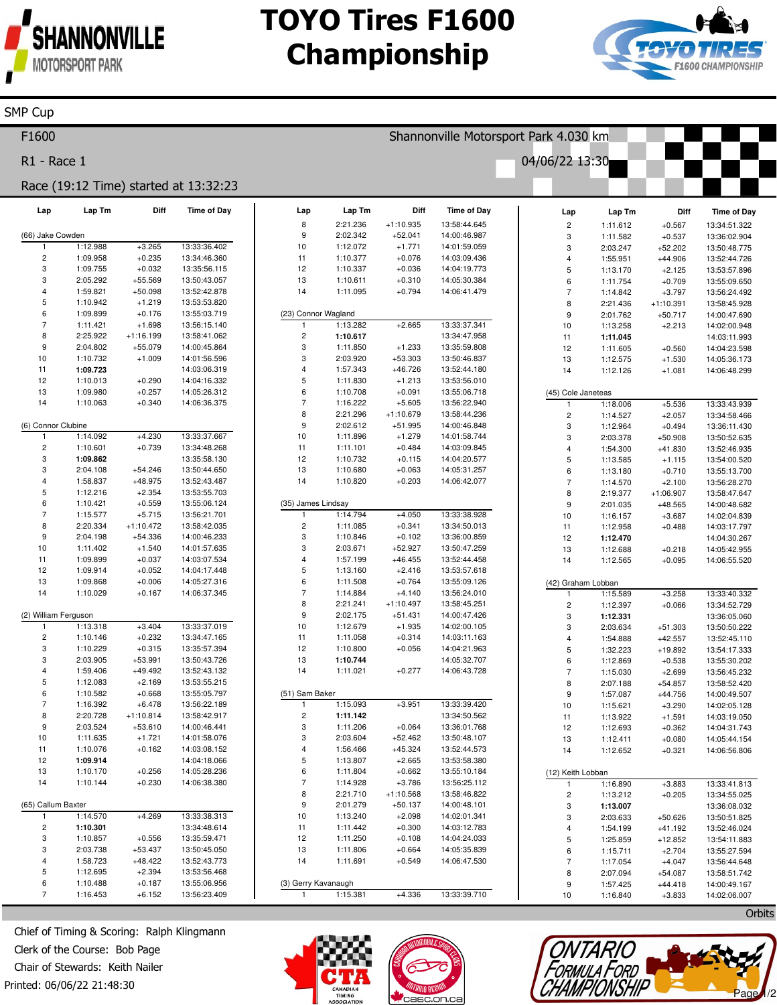

**SMP Cup** 

# **TOYO Tires F1600 Championship**



#### F1600 Shannonville Motorsport Park 4.030 km R1 - Race 1 04/06/22 13:30 Race (19:12 Time) started at 13:32:23 Lap Lap Tm Diff **Time of Day** Lap Tm Diff Lap Time of Day Diff Time of Day Lap Lap Tm 8 2:21.236  $+1:10.935$ 13:58:44.645  $\overline{c}$  $+0.567$ 1:11.612 13:34:51.322 (66) Jake Cowder 9 2:02.342  $+52.041$ 14:00:46.987 3 1:11.582  $+0.537$ 13:36:02.904 1:12.988  $+3.265$ 13:33:36.402  $10$ 1:12.072  $+1.771$ 14:01:59.059 3 2:03.247  $+52.202$ 13:50:48.775  $\overline{c}$ 1:09.958  $+0.235$ 13:34:46.360  $11$ 1:10.377  $+0.076$ 14:03:09.436  $+44.906$  $\overline{4}$ 1:55.951 13:52:44.726 3 1:09.755  $+0.032$ 13:35:56.115  $12$ 1:10.337  $+0.036$ 14:04:19.773 5 1:13.170  $+2.125$ 13:53:57.896 3 2:05.292 +55 569 13:50:43.057  $13$ 1:10.611  $+0.310$ 14:05:30.384 1:11.754  $+0.709$ 13:55:09.650 6  $\overline{4}$ 1:59.821  $+50.098$ 13:52:42.878  $14$ 1:11.095  $+0.794$ 14:06:41.479  $+3.797$  $\overline{7}$ 1:14.842 13:56:24.492 5 1:10.942  $+1.219$ 13:53:53.820 8 2:21.436  $+1:10.391$ 13:58:45.928 1:09.899  $+0.176$ 13:55:03.719 (23) Connor Wagland 6  $\overline{9}$ 2:01.762  $+50.717$ 14:00:47.690  $1:11.421$  $+1.698$ 13:56:15.140 1:13.282  $+2.665$ 13:33:37.341  $10$ 1:13.258  $+2.213$ 14:02:00.948 8 2:25.922  $+1:16.199$  $\overline{c}$ 1:10.617 13:34:47.958 13:58:41.062  $11$ 1:11.045 14:03:11.993  $\mathbf{q}$ 2:04.802  $+55.079$ 14:00:45.864 3 1:11.850  $+1.233$ 13:35:59.808  $12$ 1:11.605  $+0.560$ 14:04:23.598  $10$ 1:10.732 14:01:56.596 2:03.920  $+53.303$ 13:50:46.837  $+1.009$ 3 13 1:12.575  $+1.530$ 14:05:36.173  $11$ 14:03:06.319  $\overline{A}$ 1:57.343  $+46.726$ 13:52:44.180 1:09.723  $14$ 1:12.126  $+1.081$ 14:06:48.299  $12$ 1:10.013  $+0.290$ 14:04:16.332 5 1:11.830  $+1.213$ 13:53:56.010  $13$ 1:09.980  $+0.257$ 14:05:26.312  $6$ 1:10.708  $+0.091$ 13:55:06.718 (45) Cole Janeteas  $+0.340$ 14 1:10.063 14:06:36.375  $\overline{7}$ 1:16.222  $+5.605$ 13:56:22.940 1:18.006  $+5.536$ 13:33:43.939  $\mathbf{1}$ 8 2:21.296  $+1:10.679$ 13:58:44.236  $\overline{c}$ 1:14.527  $+2.057$ 13:34:58.466 (6) Connor Clubine 9 2:02.612  $+51.995$ 14:00:46.848 1:12.964  $+0.494$ 13:36:11.430 3 1:14.092  $+4.230$ 13:33:37.667  $10$ 14:01:58.744  $1.11.896$  $+1.279$ 2:03.378  $+50.908$ 13:50:52.635  $\mathbf{1}$  $\mathcal{R}$  $\mathcal{P}$ 1:10.601  $+0.739$ 13:34:48.268  $11$ 1:11.101  $+0.484$ 14:03:09.845 1:54.300  $+41.830$ 13:52:46.935  $\overline{4}$ 3 1:09.862 13:35:58.130  $12$ 1:10.732  $+0.115$ 14:04:20.577  $\overline{a}$ 1:13.585  $+1.115$ 13:54:00.520 3 2:04.108 13 14:05:31.257  $+54.246$ 13:50:44.650 1:10.680  $+0.063$ 6 1:13.180  $+0.710$ 13:55:13.700 1:58.837  $+48.975$ 13:52:43.487  $14$ 1:10.820  $+0.203$ 14:06:42.077  $\overline{4}$  $\overline{7}$ 1:14.570  $+2.100$ 13:56:28.270 5 1:12.216  $+2.354$ 13:53:55.703  $+1:06.907$ 8 2:19.377 13:58:47.647 6 1:10.421  $+0.559$ 13:55:06.124 (35) James Lindsay  $\mathsf{Q}$ 2:01.035  $+48.565$ 14:00:48.682  $\overline{7}$ 1:15.577  $+5.715$ 13:56:21.701  $1.14794$  $+4.050$ 13:33:38.928  $10$ 1:16.157  $+3.687$ 14:02:04.839 13:58:42.035 8 2:20.334  $+1:10.472$  $\overline{c}$ 1:11.085  $+0.341$ 13:34:50.013  $11$ 1:12.958  $+0.488$ 14:03:17.797  $+54.336$  $\overline{3}$ 1:10.846 13:36:00.859 9 2:04.198 14:00:46.233  $+0.102$  $12$ 1:12.470 14:04:30.267  $10$ 1:11.402  $+1.540$ 14:01:57.635 3 2:03.671  $+52.927$ 13:50:47.259  $13$ 1:12.688  $+0.218$ 14:05:42.955  $11$ 1:09.899  $+0.037$ 14:03:07.534  $\overline{4}$ 1:57.199  $+46.455$ 13:52:44.458  $14$ 1:12.565  $+0.095$ 14:06:55.520 5  $12$ 1:09.914  $+0.052$ 14:04:17.448 1:13.160  $+2.416$ 13:53:57.618 13 1:09.868  $+0.006$ 14:05:27.316 6 1:11.508  $+0.764$ 13:55:09.126 (42) Graham Lobbar  $14$ 1:10.029  $+0.167$ 14:06:37.345  $\overline{7}$ 1:14.884  $+4.140$ 13:56:24.010 1:15.589  $+3.258$ 13:33:40.332 8  $2.21241$  $+1:10.497$ 13:58:45.251  $\overline{2}$ 1:12.397  $+0.066$ 13:34:52.729 (2) William Ferguson  $\mathsf{q}$ 2:02.175  $+51.431$ 14:00:47.426 3 1:12.331 13:36:05.060 1:13.318  $+3.404$ 13:33:37.019  $10$ 1:12.679  $+1.935$ 14:02:00.105  $+51.303$ 2:03.634 13:50:50.222 з  $\overline{2}$  $+0.232$  $11$ 14:03:11.163 1:10.146 13:34:47.165 1:11.058  $+0.314$  $\overline{4}$ 1:54.888  $+42.557$ 13:52:45.110 1:10.229  $+0.315$ 13:35:57.394  $12$ 1:10.800  $+0.056$ 14:04:21.963 3 5 1:32.223  $+19.892$ 13:54:17.333 3 2:03.905  $+53.991$ 13:50:43.726  $13$ 1:10.744 14:05:32.707 13:55:30.202 6 1:12.869  $+0.538$ 1:11.021 14:06:43.728  $\overline{4}$ 1:59.406  $+49.492$ 13:52:43.132  $14$  $+0.277$ 1:15.030  $+2.699$ 13:56:45.232  $\overline{7}$ 5 1:12.083  $+2.169$ 13:53:55.215 8 2:07.188  $+54.857$ 13:58:52.420 1:10.582  $+0.668$ 13:55:05.797 (51) Sam Baker 6 9 1:57.087  $+44.756$ 14:00:49.507 1:16.392  $+6.478$ 1:15.093  $+3.951$ 13:33:39.420  $\overline{7}$ 13:56:22.189  $10$ 1:15.621  $+3.290$ 14:02:05.128 8 2:20.728  $+1:10.814$ 13:58:42.917  $\overline{c}$ 1:11.142 13:34:50.562  $11$ 1:13.922  $+1.591$ 14:03:19.050 g 2:03.524  $+53.610$ 14:00:46.441 1:11.206  $+0.064$ 13:36:01.768 3  $12$ 1:12.693  $+0.362$ 14:04:31.743  $10$ 1:11.635  $+1.721$ 14:01:58.076 3 2:03.604  $+52.462$ 13:50:48.107 13 1:12.411  $+0.080$ 14:05:44.154  $11$ 1:10.076  $+0.162$ 14:03:08.152  $\overline{4}$ 1:56.466  $+45.324$ 13:52:44.573  $14$ 1:12.652  $+0.321$ 14:06:56.806  $12$ 1:09.914 14:04:18.066 5 1:13.807  $+2.665$ 13:53:58.380  $13$ 1:10.170  $+0.256$ 14:05:28.236  $6\phantom{a}$ 1:11.804  $+0.662$ 13:55:10.184 (12) Keith Lobban  $14$ 1:10.144  $+0.230$ 14:06:38.380  $\overline{7}$ 1:14.928  $+3.786$ 13:56:25.112 1:16.890  $+3.883$ 13:33:41.813 1 8 2:21.710  $+1:10.568$ 13:58:46.822  $\mathfrak{p}$ 1:13.212  $+0.205$ 13:34:55.025 (65) Callum Baxter 9 2:01.279  $+50.137$ 14:00:48.101  $\mathcal{R}$ 1:13.007 13:36:08.032 1:14.570  $+4.269$ 13:33:38.313  $10$ 1:13.240  $+2.098$ 14:02:01.341 3 2:03.633  $+50.626$ 13:50:51.825  $\overline{2}$ 1:10.301 13:34:48.614  $11$ 1:11.442  $+0.300$ 14:03:12.783 1:54.199  $+41.192$ 13:52:46.024  $\Delta$  $12$ 3 1:10.857  $+0.556$ 13:35:59.471 1:11.250 14:04:24.033  $+12.852$  $+0.108$  $\overline{5}$ 1:25.859 13:54:11.883 3 2:03.738  $+53.437$ 13:50:45.050 13 1:11.806  $+0.664$ 14:05:35.839 6 1:15.711  $+2.704$ 13:55:27.594 1:58.723  $+48.422$  $+0.549$ 14:06:47.530  $\overline{4}$ 13:52:43.773  $14$ 1:11.691  $\overline{7}$ 1:17.054  $+4.047$ 13:56:44.648  $+2.394$ 5 1:12.695 13:53:56.468  $\mathbf{a}$ 2:07.094  $+54.087$ 13:58:51.742 6 1:10.488  $+0.187$ 13:55:06.956 (3) Gerry Kavanaugh 9 1:57.425  $+44.418$ 14:00:49.167  $\overline{7}$ 1:16.453  $+6.152$ 13:56:23.409 1:15.381  $+4.336$ 13:33:39.710  $10$ 1:16.840  $+3.833$ 14:02:06.007

Chief of Timing & Scoring: Ralph Klingmann Clerk of the Course: Bob Page Chair of Stewards: Keith Nailer Printed: 06/06/22 21:48:30







Orbits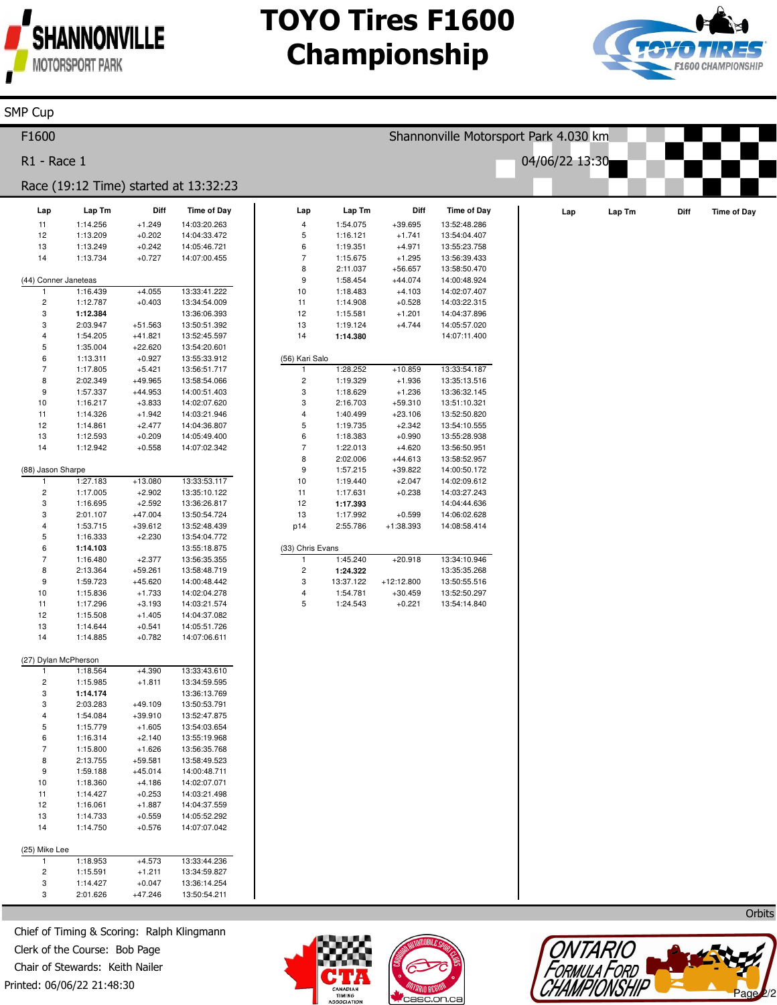

# **TOYO Tires F1600 Championship**



| <b>SMP Cup</b>                |                      |                       |                                       |                               |                       |                       |                                       |                |        |      |                    |
|-------------------------------|----------------------|-----------------------|---------------------------------------|-------------------------------|-----------------------|-----------------------|---------------------------------------|----------------|--------|------|--------------------|
| F1600                         |                      |                       |                                       |                               |                       |                       | Shannonville Motorsport Park 4.030 km |                |        |      |                    |
| R1 - Race 1                   |                      |                       |                                       |                               |                       |                       |                                       | 04/06/22 13:30 |        |      |                    |
|                               |                      |                       | Race (19:12 Time) started at 13:32:23 |                               |                       |                       |                                       |                |        |      |                    |
| Lap                           | Lap Tm               | Diff                  | <b>Time of Day</b>                    | Lap                           | Lap Tm                | Diff                  | <b>Time of Day</b>                    | Lap            | Lap Tm | Diff | <b>Time of Day</b> |
| 11                            | 1:14.256             | $+1.249$              | 14:03:20.263                          | $\overline{\mathbf{4}}$       | 1:54.075              | $+39.695$             | 13:52:48.286                          |                |        |      |                    |
| 12                            | 1:13.209             | $+0.202$              | 14:04:33.472                          | 5                             | 1:16.121              | $+1.741$              | 13:54:04.407                          |                |        |      |                    |
| 13<br>14                      | 1:13.249             | $+0.242$              | 14:05:46.721<br>14:07:00.455          | 6<br>$\overline{\phantom{a}}$ | 1:19.351              | $+4.971$              | 13:55:23.758                          |                |        |      |                    |
|                               | 1:13.734             | $+0.727$              |                                       | 8                             | 1:15.675<br>2:11.037  | $+1.295$<br>$+56.657$ | 13:56:39.433<br>13:58:50.470          |                |        |      |                    |
| (44) Conner Janeteas          |                      |                       |                                       | 9                             | 1:58.454              | $+44.074$             | 14:00:48.924                          |                |        |      |                    |
| $\mathbf{1}$                  | 1:16.439             | $+4.055$              | 13:33:41.222                          | $10$                          | 1:18.483              | $+4.103$              | 14:02:07.407                          |                |        |      |                    |
| $\overline{c}$                | 1:12.787             | $+0.403$              | 13:34:54.009                          | 11                            | 1:14.908              | $+0.528$              | 14:03:22.315                          |                |        |      |                    |
| 3                             | 1:12.384             |                       | 13:36:06.393                          | 12                            | 1:15.581              | $+1.201$              | 14:04:37.896                          |                |        |      |                    |
| 3<br>$\overline{\mathbf{4}}$  | 2:03.947<br>1:54.205 | +51.563<br>$+41.821$  | 13:50:51.392<br>13:52:45.597          | 13<br>14                      | 1:19.124<br>1:14.380  | $+4.744$              | 14:05:57.020<br>14:07:11.400          |                |        |      |                    |
| 5                             | 1:35.004             | $+22.620$             | 13:54:20.601                          |                               |                       |                       |                                       |                |        |      |                    |
| 6                             | 1:13.311             | $+0.927$              | 13:55:33.912                          | (56) Kari Salo                |                       |                       |                                       |                |        |      |                    |
| $\overline{7}$                | 1:17.805             | $+5.421$              | 13:56:51.717                          | 1                             | 1:28.252              | $+10.859$             | 13:33:54.187                          |                |        |      |                    |
| 8                             | 2:02.349             | +49.965               | 13:58:54.066                          | $\mathbf 2$                   | 1:19.329              | $+1.936$              | 13:35:13.516                          |                |        |      |                    |
| $\boldsymbol{9}$              | 1:57.337             | +44.953               | 14:00:51.403                          | 3                             | 1:18.629              | $+1.236$              | 13:36:32.145                          |                |        |      |                    |
| 10<br>11                      | 1:16.217<br>1:14.326 | $+3.833$<br>$+1.942$  | 14:02:07.620                          | 3<br>4                        | 2:16.703<br>1:40.499  | $+59.310$             | 13:51:10.321<br>13:52:50.820          |                |        |      |                    |
| 12                            | 1:14.861             | $+2.477$              | 14:03:21.946<br>14:04:36.807          | 5                             | 1:19.735              | $+23.106$<br>$+2.342$ | 13:54:10.555                          |                |        |      |                    |
| 13                            | 1:12.593             | $+0.209$              | 14:05:49.400                          | 6                             | 1:18.383              | $+0.990$              | 13:55:28.938                          |                |        |      |                    |
| 14                            | 1:12.942             | $+0.558$              | 14:07:02.342                          | $\overline{7}$                | 1:22.013              | $+4.620$              | 13:56:50.951                          |                |        |      |                    |
|                               |                      |                       |                                       | 8                             | 2:02.006              | $+44.613$             | 13:58:52.957                          |                |        |      |                    |
| (88) Jason Sharpe             |                      |                       |                                       | 9                             | 1:57.215              | $+39.822$             | 14:00:50.172                          |                |        |      |                    |
| $\overline{1}$                | 1:27.183             | $+13.080$             | 13:33:53.117                          | 10                            | 1:19.440              | $+2.047$              | 14:02:09.612                          |                |        |      |                    |
| $\overline{\mathbf{c}}$<br>3  | 1:17.005<br>1:16.695 | $+2.902$<br>$+2.592$  | 13:35:10.122<br>13:36:26.817          | 11<br>12                      | 1:17.631<br>1:17.393  | $+0.238$              | 14:03:27.243<br>14:04:44.636          |                |        |      |                    |
| 3                             | 2:01.107             | $+47.004$             | 13:50:54.724                          | 13                            | 1:17.992              | $+0.599$              | 14:06:02.628                          |                |        |      |                    |
| $\sqrt{4}$                    | 1:53.715             | $+39.612$             | 13:52:48.439                          | p14                           | 2:55.786              | +1:38.393             | 14:08:58.414                          |                |        |      |                    |
| 5                             | 1:16.333             | $+2.230$              | 13:54:04.772                          |                               |                       |                       |                                       |                |        |      |                    |
| 6                             | 1:14.103             |                       | 13:55:18.875                          | (33) Chris Evans              |                       |                       |                                       |                |        |      |                    |
| $\overline{7}$                | 1:16.480             | $+2.377$              | 13:56:35.355                          | $\mathbf{1}$                  | 1:45.240              | $+20.918$             | 13:34:10.946                          |                |        |      |                    |
| 8<br>9                        | 2:13.364<br>1:59.723 | $+59.261$<br>+45.620  | 13:58:48.719<br>14:00:48.442          | $\overline{\mathbf{c}}$<br>3  | 1:24.322<br>13:37.122 | $+12:12.800$          | 13:35:35.268<br>13:50:55.516          |                |        |      |                    |
| 10                            | 1:15.836             | $+1.733$              | 14:02:04.278                          | 4                             | 1:54.781              | $+30.459$             | 13:52:50.297                          |                |        |      |                    |
| 11                            | 1:17.296             | $+3.193$              | 14:03:21.574                          | 5                             | 1:24.543              | $+0.221$              | 13:54:14.840                          |                |        |      |                    |
| 12                            | 1:15.508             | $+1.405$              | 14:04:37.082                          |                               |                       |                       |                                       |                |        |      |                    |
| 13                            | 1:14.644             | $+0.541$              | 14:05:51.726                          |                               |                       |                       |                                       |                |        |      |                    |
| 14                            | 1:14.885             | $+0.782$              | 14:07:06.611                          |                               |                       |                       |                                       |                |        |      |                    |
| (27) Dylan McPherson          |                      |                       |                                       |                               |                       |                       |                                       |                |        |      |                    |
|                               | 1:18.564             | $+4.390$              | 13:33:43.610                          |                               |                       |                       |                                       |                |        |      |                    |
| $\sqrt{2}$                    | 1:15.985             | $+1.811$              | 13:34:59.595                          |                               |                       |                       |                                       |                |        |      |                    |
| 3                             | 1:14.174             |                       | 13:36:13.769                          |                               |                       |                       |                                       |                |        |      |                    |
| 3                             | 2:03.283             | +49.109               | 13:50:53.791                          |                               |                       |                       |                                       |                |        |      |                    |
| $\overline{4}$<br>$\mathbf 5$ | 1:54.084             | $+39.910$             | 13:52:47.875                          |                               |                       |                       |                                       |                |        |      |                    |
| 6                             | 1:15.779<br>1:16.314 | $+1.605$<br>$+2.140$  | 13:54:03.654<br>13:55:19.968          |                               |                       |                       |                                       |                |        |      |                    |
| $\sqrt{7}$                    | 1:15.800             | $+1.626$              | 13:56:35.768                          |                               |                       |                       |                                       |                |        |      |                    |
| 8                             | 2:13.755             | $+59.581$             | 13:58:49.523                          |                               |                       |                       |                                       |                |        |      |                    |
| 9                             | 1:59.188             | $+45.014$             | 14:00:48.711                          |                               |                       |                       |                                       |                |        |      |                    |
| 10                            | 1:18.360             | $+4.186$              | 14:02:07.071                          |                               |                       |                       |                                       |                |        |      |                    |
| 11                            | 1:14.427             | $+0.253$              | 14:03:21.498                          |                               |                       |                       |                                       |                |        |      |                    |
| 12<br>13                      | 1:16.061             | $+1.887$              | 14:04:37.559                          |                               |                       |                       |                                       |                |        |      |                    |
| 14                            | 1:14.733<br>1:14.750 | $+0.559$<br>$+0.576$  | 14:05:52.292<br>14:07:07.042          |                               |                       |                       |                                       |                |        |      |                    |
|                               |                      |                       |                                       |                               |                       |                       |                                       |                |        |      |                    |
| (25) Mike Lee                 |                      |                       |                                       |                               |                       |                       |                                       |                |        |      |                    |
| 1                             | 1:18.953             | $+4.573$              | 13:33:44.236                          |                               |                       |                       |                                       |                |        |      |                    |
| $\overline{c}$                | 1:15.591             | $+1.211$              | 13:34:59.827                          |                               |                       |                       |                                       |                |        |      |                    |
| 3<br>3                        | 1:14.427<br>2:01.626 | $+0.047$<br>$+47.246$ | 13:36:14.254<br>13:50:54.211          |                               |                       |                       |                                       |                |        |      |                    |
|                               |                      |                       |                                       |                               |                       |                       |                                       |                |        |      |                    |
|                               |                      |                       |                                       |                               |                       |                       |                                       |                |        |      | Orbits             |

Printed: 06/06/22 21:48:30 Chief of Timing & Scoring: Ralph Klingmann Clerk of the Course: Bob Page Chair of Stewards: Keith Nailer